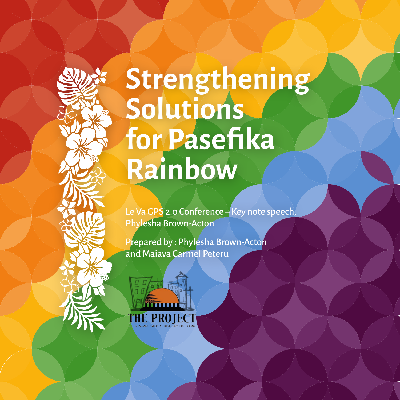# Strengthening Solutions for Pasefika Rainbow

Le Va GPS 2.0 Conference - Key note speech, Phylesha Brown-Acton

Prepared by : Phylesha Brown-Acton and Maiava Carmel Peteru

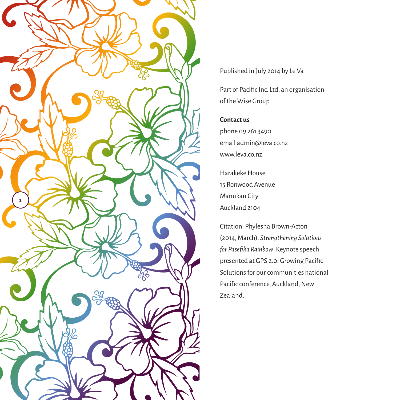

Published in July 2014 by Le Va

Part of Pacific Inc. Ltd, an organisation of the Wise Group

#### **Contact us**

phone 09 261 3490 email admin@leva.co.nz www.leva.co.nz

Harakeke House 15 Ronwood Avenue Manukau City Auckland 2104

Citation: Phylesha Brown-Acton (2014, March). *Strengthening Solutions for Pasefika Rainbow*. Keynote speech presented at GPS 2.0: Growing Pacific Solutions for our communities national Pacific conference, Auckland, New Zealand.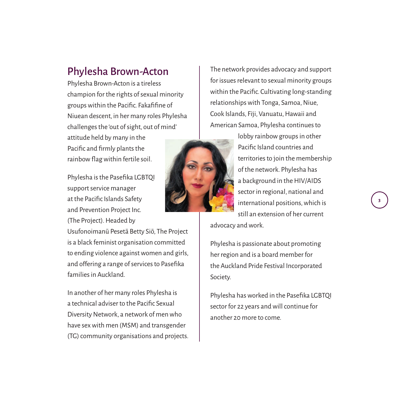### Phylesha Brown-Acton

Phylesha Brown-Acton is a tireless champion for the rights of sexual minority groups within the Pacific. Fakafifine of Niuean descent, in her many roles Phylesha challenges the 'out of sight, out of mind' attitude held by many in the Pacific and firmly plants the rainbow flag within fertile soil.

Phylesha is the Pasefika LGBTQI support service manager at the Pacific Islands Safety and Prevention Project Inc. (The Project). Headed by

Usufonoimanū Pesetā Betty Siō, The Project is a black feminist organisation committed to ending violence against women and girls, and offering a range of services to Pasefika families in Auckland.

In another of her many roles Phylesha is a technical adviser to the Pacific Sexual Diversity Network, a network of men who have sex with men (MSM) and transgender (TG) community organisations and projects. The network provides advocacy and support for issues relevant to sexual minority groups within the Pacific. Cultivating long-standing relationships with Tonga, Samoa, Niue, Cook Islands, Fiji, Vanuatu, Hawaii and American Samoa, Phylesha continues to



**3**

advocacy and work.

Phylesha is passionate about promoting her region and is a board member for the Auckland Pride Festival Incorporated Society.

Phylesha has worked in the Pasefika LGBTQI sector for 22 years and will continue for another 20 more to come.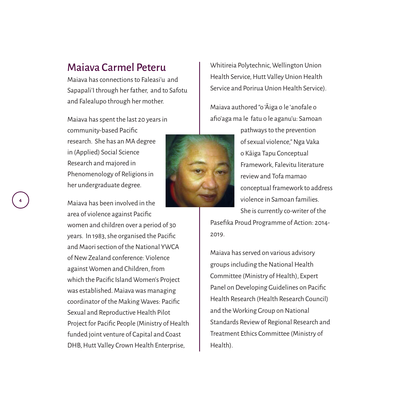#### Maiava Carmel Peteru

Maiava has connections to Faleasi'u and Sapapali'I through her father, and to Safotu and Falealupo through her mother.

Maiava has spent the last 20 years in community-based Pacific research. She has an MA degree in (Applied) Social Science Research and majored in Phenomenology of Religions in her undergraduate degree.

**4**

Maiava has been involved in the area of violence against Pacific women and children over a period of 30 years. In 1983, she organised the Pacific and Maori section of the National YWCA of New Zealand conference: Violence against Women and Children, from which the Pacific Island Women's Project was established. Maiava was managing coordinator of the Making Waves: Pacific Sexual and Reproductive Health Pilot Project for Pacific People (Ministry of Health funded joint venture of Capital and Coast DHB, Hutt Valley Crown Health Enterprise,

Whitireia Polytechnic, Wellington Union Health Service, Hutt Valley Union Health Service and Porirua Union Health Service).

Maiava authored "o 'Āiga o le 'anofale o afio'aga ma le fatu o le aganu'u: Samoan



pathways to the prevention of sexual violence," Nga Vaka o Kāiga Tapu Conceptual Framework, Falevitu literature review and Tofa mamao conceptual framework to address violence in Samoan families.

She is currently co-writer of the Pasefika Proud Programme of Action: 2014- 2019.

Maiava has served on various advisory groups including the National Health Committee (Ministry of Health), Expert Panel on Developing Guidelines on Pacific Health Research (Health Research Council) and the Working Group on National Standards Review of Regional Research and Treatment Ethics Committee (Ministry of Health).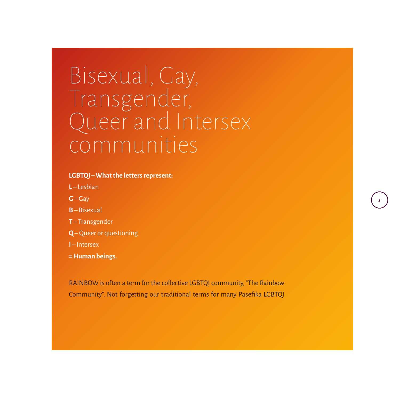## Bisexual, Gay, Transgender, Queer and Intersex communities

#### **LGBTQI – What the letters represent:**

- **L**  Lesbian
- $G Gav$
- **B** Bisexual
- **T** Transgender
- **Q** Queer or questioning
- **I**  Intersex
- **= Human beings.**

RAINBOW is often a term for the collective LGBTQI community, "The Rainbow Community". Not forgetting our traditional terms for many Pasefika LGBTQI **5**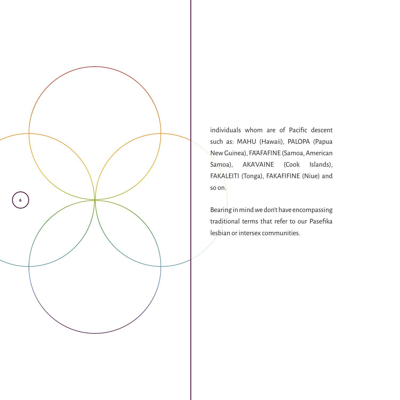

individuals whom are of Pacific descent such as: MAHU (Hawaii), PALOPA (Papua New Guinea), FA'AFAFINE (Samoa, American Samoa), AKA'VAINE (Cook Islands), FAKALEITI (Tonga), FAKAFIFINE (Niue) and so on.

Bearing in mind we don't have encompassing traditional terms that refer to our Pasefika lesbian or intersex communities.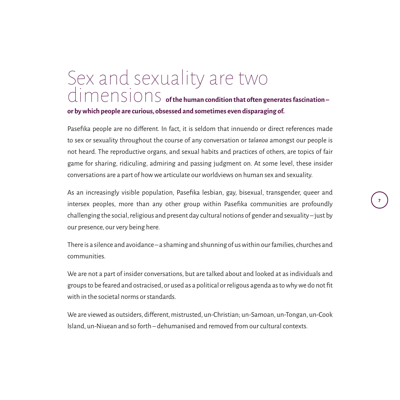### Sex and sexuality are two dimensions **of the human condition that often generates fascination – or by which people are curious, obsessed and sometimes even disparaging of.**

Pasefika people are no different. In fact, it is seldom that innuendo or direct references made to sex or sexuality throughout the course of any conversation or *talanoa* amongst our people is not heard. The reproductive organs, and sexual habits and practices of others, are topics of fair game for sharing, ridiculing, admiring and passing judgment on. At some level, these insider conversations are a part of how we articulate our worldviews on human sex and sexuality.

As an increasingly visible population, Pasefika lesbian, gay, bisexual, transgender, queer and intersex peoples, more than any other group within Pasefika communities are profoundly challenging the social, religious and present day cultural notions of gender and sexuality – just by our presence, our very being here.

**7**

There is a silence and avoidance – a shaming and shunning of us within our families, churches and communities.

We are not a part of insider conversations, but are talked about and looked at as individuals and groups to be feared and ostracised, or used as a political or religous agenda as to why we do not fit with in the societal norms or standards.

We are viewed as outsiders, different, mistrusted, un-Christian; un-Samoan, un-Tongan, un-Cook Island, un-Niuean and so forth – dehumanised and removed from our cultural contexts.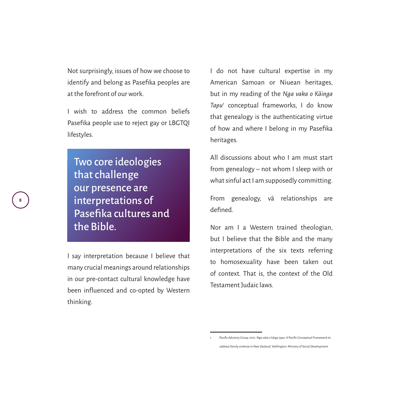Not surprisingly, issues of how we choose to identify and belong as Pasefika peoples are at the forefront of our work.

I wish to address the common beliefs Pasefika people use to reject gay or LBGTQI lifestyles.

Two core ideologies that challenge our presence are interpretations of Pasefika cultures and the Bible.

**8**

I say interpretation because I believe that many crucial meanings around relationships in our pre-contact cultural knowledge have been influenced and co-opted by Western thinking.

I do not have cultural expertise in my American Samoan or Niuean heritages, but in my reading of the *Nga vaka o Kāinga Tapu1* conceptual frameworks, I do know that genealogy is the authenticating virtue of how and where I belong in my Pasefika heritages.

All discussions about who I am must start from genealogy – not whom I sleep with or what sinful act I am supposedly committing.

From genealogy, vā relationships are defined.

Nor am I a Western trained theologian, but I believe that the Bible and the many interpretations of the six texts referring to homosexuality have been taken out of context. That is, the context of the Old Testament Judaic laws.

<sup>1</sup> Pacific Advisory Group. 2012. Nga vaka o kāiga tapu: A Pacific Conceptual Framework to address family violence in New Zealand. Wellington: Ministry of Social Development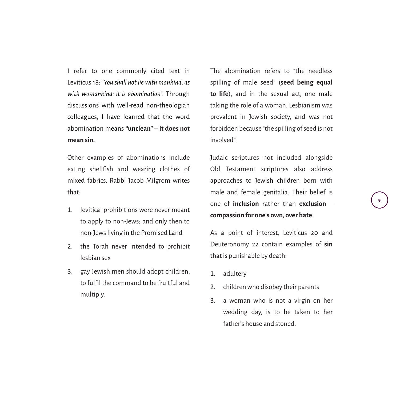I refer to one commonly cited text in Leviticus 18: "*You shall not lie with mankind, as with womankind: it is abomination*". Through discussions with well-read non-theologian colleagues, I have learned that the word abomination means **"unclean"** – **it does not mean sin.** 

Other examples of abominations include eating shellfish and wearing clothes of mixed fabrics. Rabbi Jacob Milgrom writes that:

- 1. levitical prohibitions were never meant to apply to non-Jews; and only then to non-Jews living in the Promised Land
- 2. the Torah never intended to prohibit lesbian sex
- 3. gay Jewish men should adopt children, to fulfil the command to be fruitful and multiply.

The abomination refers to "the needless spilling of male seed" (**seed being equal to life**), and in the sexual act, one male taking the role of a woman. Lesbianism was prevalent in Jewish society, and was not forbidden because "the spilling of seed is not involved".

Judaic scriptures not included alongside Old Testament scriptures also address approaches to Jewish children born with male and female genitalia. Their belief is one of **inclusion** rather than **exclusion** – **compassion for one's own, over hate**.

**9**

As a point of interest, Leviticus 20 and Deuteronomy 22 contain examples of **sin** that is punishable by death:

- 1. adultery
- 2. children who disobey their parents
- 3. a woman who is not a virgin on her wedding day, is to be taken to her father's house and stoned.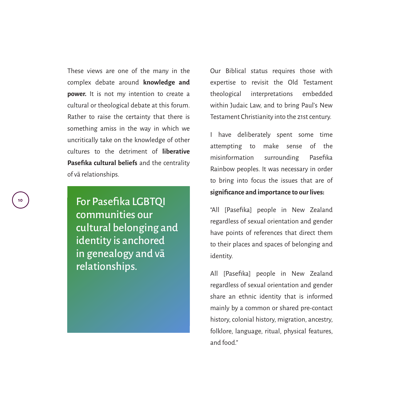These views are one of the many in the complex debate around **knowledge and power.** It is not my intention to create a cultural or theological debate at this forum. Rather to raise the certainty that there is something amiss in the way in which we uncritically take on the knowledge of other cultures to the detriment of **liberative Pasefika cultural beliefs** and the centrality of vā relationships.

For Pasefika LGBTQI communities our cultural belonging and identity is anchored in genealogy and vā relationships.

Our Biblical status requires those with expertise to revisit the Old Testament theological interpretations embedded within Judaic Law, and to bring Paul's New Testament Christianity into the 21st century.

I have deliberately spent some time attempting to make sense of the misinformation surrounding Pasefika Rainbow peoples. It was necessary in order to bring into focus the issues that are of **significance and importance to our lives:**

"All [Pasefika] people in New Zealand regardless of sexual orientation and gender have points of references that direct them to their places and spaces of belonging and identity.

All [Pasefika] people in New Zealand regardless of sexual orientation and gender share an ethnic identity that is informed mainly by a common or shared pre-contact history, colonial history, migration, ancestry, folklore, language, ritual, physical features, and food."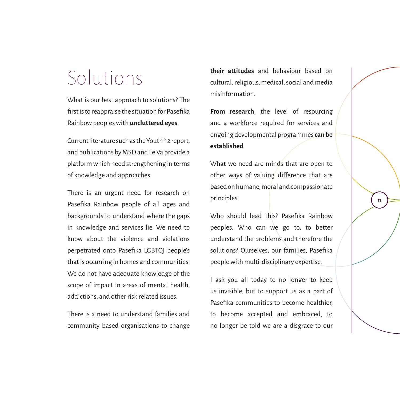## Solutions

What is our best approach to solutions? The first is to reappraise the situation for Pasefika Rainbow peoples with **uncluttered eyes**.

Current literature such as the Youth '12 report, and publications by MSD and Le Va provide a platform which need strengthening in terms of knowledge and approaches.

There is an urgent need for research on Pasefika Rainbow people of all ages and backgrounds to understand where the gaps in knowledge and services lie. We need to know about the violence and violations perpetrated onto Pasefika LGBTQI people's that is occurring in homes and communities. We do not have adequate knowledge of the scope of impact in areas of mental health, addictions, and other risk related issues.

There is a need to understand families and community based organisations to change **their attitudes** and behaviour based on cultural, religious, medical, social and media misinformation.

**From research**, the level of resourcing and a workforce required for services and ongoing developmental programmes **can be established**.

What we need are minds that are open to other ways of valuing difference that are based on humane, moral and compassionate principles.

**11**

Who should lead this? Pasefika Rainbow peoples. Who can we go to, to better understand the problems and therefore the solutions? Ourselves, our families, Pasefika people with multi-disciplinary expertise.

I ask you all today to no longer to keep us invisible, but to support us as a part of Pasefika communities to become healthier to become accepted and embraced, to no longer be told we are a disgrace to our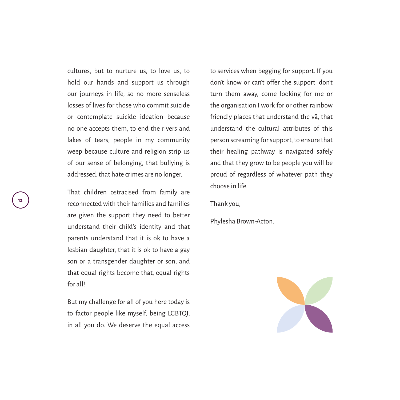cultures, but to nurture us, to love us, to hold our hands and support us through our journeys in life, so no more senseless losses of lives for those who commit suicide or contemplate suicide ideation because no one accepts them, to end the rivers and lakes of tears, people in my community weep because culture and religion strip us of our sense of belonging, that bullying is addressed, that hate crimes are no longer.

That children ostracised from family are reconnected with their families and families are given the support they need to better understand their child's identity and that parents understand that it is ok to have a lesbian daughter, that it is ok to have a gay son or a transgender daughter or son, and that equal rights become that, equal rights for all!

But my challenge for all of you here today is to factor people like myself, being LGBTQI, in all you do. We deserve the equal access to services when begging for support. If you don't know or can't offer the support, don't turn them away, come looking for me or the organisation I work for or other rainbow friendly places that understand the vā, that understand the cultural attributes of this person screaming for support, to ensure that their healing pathway is navigated safely and that they grow to be people you will be proud of regardless of whatever path they choose in life.

Thank you,

Phylesha Brown-Acton.

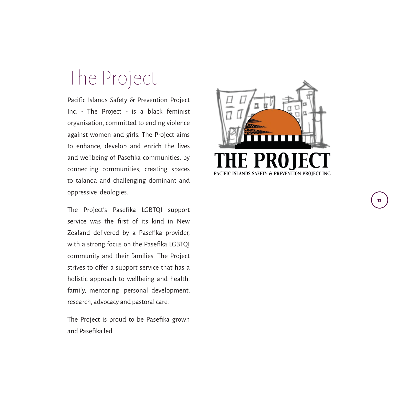## The Project

Pacific Islands Safety & Prevention Project Inc. - The Project - is a black feminist organisation, committed to ending violence against women and girls. The Project aims to enhance, develop and enrich the lives and wellbeing of Pasefika communities, by connecting communities, creating spaces to talanoa and challenging dominant and oppressive ideologies.

The Project's Pasefika LGBTQI support service was the first of its kind in New Zealand delivered by a Pasefika provider, with a strong focus on the Pasefika LGBTQI community and their families. The Project strives to offer a support service that has a holistic approach to wellbeing and health, family, mentoring, personal development, research, advocacy and pastoral care.

The Project is proud to be Pasefika grown and Pasefika led.



**13**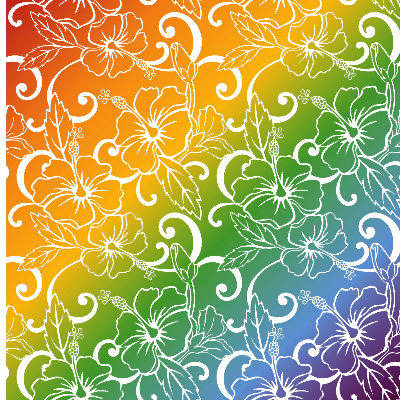